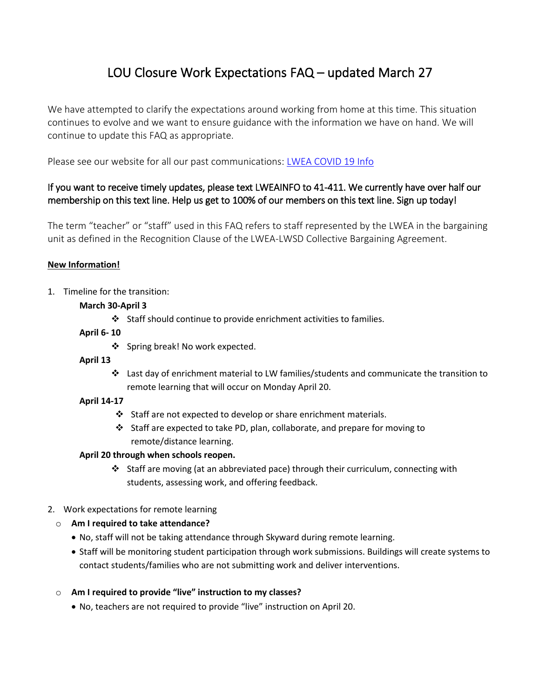# LOU Closure Work Expectations FAQ – updated March 27

We have attempted to clarify the expectations around working from home at this time. This situation continues to evolve and we want to ensure guidance with the information we have on hand. We will continue to update this FAQ as appropriate.

Please see our website for all our past communications: [LWEA COVID 19 Info](https://www.lakewashingtonea.org/coronavirus-covid-19-information/)

# If you want to receive timely updates, please text LWEAINFO to 41-411. We currently have over half our membership on this text line. Help us get to 100% of our members on this text line. Sign up today!

The term "teacher" or "staff" used in this FAQ refers to staff represented by the LWEA in the bargaining unit as defined in the Recognition Clause of the LWEA-LWSD Collective Bargaining Agreement.

## **New Information!**

1. Timeline for the transition:

## **March 30-April 3**

Staff should continue to provide enrichment activities to families.

## **April 6- 10**

❖ Spring break! No work expected.

## **April 13**

 Last day of enrichment material to LW families/students and communicate the transition to remote learning that will occur on Monday April 20.

## **April 14-17**

- $\div$  Staff are not expected to develop or share enrichment materials.
- Staff are expected to take PD, plan, collaborate, and prepare for moving to remote/distance learning.

## **April 20 through when schools reopen.**

Staff are moving (at an abbreviated pace) through their curriculum, connecting with students, assessing work, and offering feedback.

# 2. Work expectations for remote learning

# o **Am I required to take attendance?**

- No, staff will not be taking attendance through Skyward during remote learning.
- Staff will be monitoring student participation through work submissions. Buildings will create systems to contact students/families who are not submitting work and deliver interventions.

## o **Am I required to provide "live" instruction to my classes?**

No, teachers are not required to provide "live" instruction on April 20.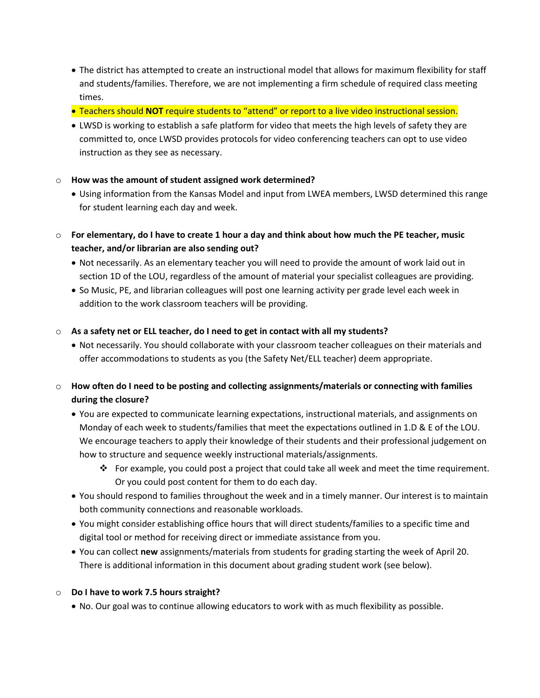- The district has attempted to create an instructional model that allows for maximum flexibility for staff and students/families. Therefore, we are not implementing a firm schedule of required class meeting times.
- Teachers should **NOT** require students to "attend" or report to a live video instructional session.
- LWSD is working to establish a safe platform for video that meets the high levels of safety they are committed to, once LWSD provides protocols for video conferencing teachers can opt to use video instruction as they see as necessary.

#### o **How was the amount of student assigned work determined?**

- Using information from the Kansas Model and input from LWEA members, LWSD determined this range for student learning each day and week.
- o **For elementary, do I have to create 1 hour a day and think about how much the PE teacher, music teacher, and/or librarian are also sending out?** 
	- Not necessarily. As an elementary teacher you will need to provide the amount of work laid out in section 1D of the LOU, regardless of the amount of material your specialist colleagues are providing.
	- So Music, PE, and librarian colleagues will post one learning activity per grade level each week in addition to the work classroom teachers will be providing.

#### o **As a safety net or ELL teacher, do I need to get in contact with all my students?**

- Not necessarily. You should collaborate with your classroom teacher colleagues on their materials and offer accommodations to students as you (the Safety Net/ELL teacher) deem appropriate.
- o **How often do I need to be posting and collecting assignments/materials or connecting with families during the closure?** 
	- You are expected to communicate learning expectations, instructional materials, and assignments on Monday of each week to students/families that meet the expectations outlined in 1.D & E of the LOU. We encourage teachers to apply their knowledge of their students and their professional judgement on how to structure and sequence weekly instructional materials/assignments.
		- For example, you could post a project that could take all week and meet the time requirement. Or you could post content for them to do each day.
	- You should respond to families throughout the week and in a timely manner. Our interest is to maintain both community connections and reasonable workloads.
	- You might consider establishing office hours that will direct students/families to a specific time and digital tool or method for receiving direct or immediate assistance from you.
	- You can collect **new** assignments/materials from students for grading starting the week of April 20. There is additional information in this document about grading student work (see below).

## o **Do I have to work 7.5 hours straight?**

No. Our goal was to continue allowing educators to work with as much flexibility as possible.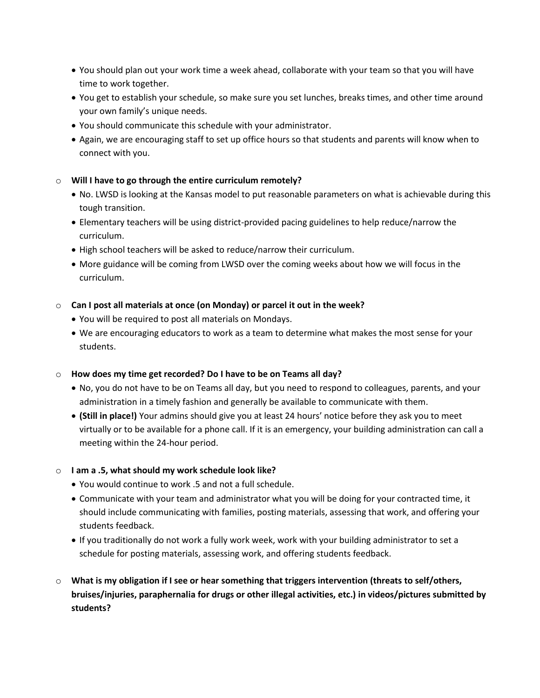- You should plan out your work time a week ahead, collaborate with your team so that you will have time to work together.
- You get to establish your schedule, so make sure you set lunches, breaks times, and other time around your own family's unique needs.
- You should communicate this schedule with your administrator.
- Again, we are encouraging staff to set up office hours so that students and parents will know when to connect with you.

#### o **Will I have to go through the entire curriculum remotely?**

- No. LWSD is looking at the Kansas model to put reasonable parameters on what is achievable during this tough transition.
- Elementary teachers will be using district-provided pacing guidelines to help reduce/narrow the curriculum.
- High school teachers will be asked to reduce/narrow their curriculum.
- More guidance will be coming from LWSD over the coming weeks about how we will focus in the curriculum.

#### o **Can I post all materials at once (on Monday) or parcel it out in the week?**

- You will be required to post all materials on Mondays.
- We are encouraging educators to work as a team to determine what makes the most sense for your students.

#### o **How does my time get recorded? Do I have to be on Teams all day?**

- No, you do not have to be on Teams all day, but you need to respond to colleagues, parents, and your administration in a timely fashion and generally be available to communicate with them.
- **(Still in place!)** Your admins should give you at least 24 hours' notice before they ask you to meet virtually or to be available for a phone call. If it is an emergency, your building administration can call a meeting within the 24-hour period.

#### o **I am a .5, what should my work schedule look like?**

- You would continue to work .5 and not a full schedule.
- Communicate with your team and administrator what you will be doing for your contracted time, it should include communicating with families, posting materials, assessing that work, and offering your students feedback.
- If you traditionally do not work a fully work week, work with your building administrator to set a schedule for posting materials, assessing work, and offering students feedback.
- o **What is my obligation if I see or hear something that triggers intervention (threats to self/others, bruises/injuries, paraphernalia for drugs or other illegal activities, etc.) in videos/pictures submitted by students?**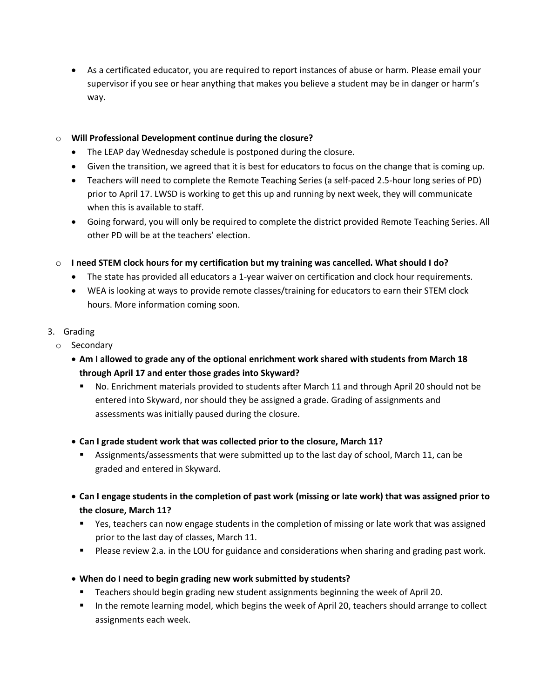As a certificated educator, you are required to report instances of abuse or harm. Please email your supervisor if you see or hear anything that makes you believe a student may be in danger or harm's way.

#### o **Will Professional Development continue during the closure?**

- The LEAP day Wednesday schedule is postponed during the closure.
- Given the transition, we agreed that it is best for educators to focus on the change that is coming up.
- Teachers will need to complete the Remote Teaching Series (a self-paced 2.5-hour long series of PD) prior to April 17. LWSD is working to get this up and running by next week, they will communicate when this is available to staff.
- Going forward, you will only be required to complete the district provided Remote Teaching Series. All other PD will be at the teachers' election.
- o **I need STEM clock hours for my certification but my training was cancelled. What should I do?**
	- The state has provided all educators a 1-year waiver on certification and clock hour requirements.
	- WEA is looking at ways to provide remote classes/training for educators to earn their STEM clock hours. More information coming soon.

## 3. Grading

- o Secondary
	- **Am I allowed to grade any of the optional enrichment work shared with students from March 18 through April 17 and enter those grades into Skyward?**
		- No. Enrichment materials provided to students after March 11 and through April 20 should not be entered into Skyward, nor should they be assigned a grade. Grading of assignments and assessments was initially paused during the closure.
	- **Can I grade student work that was collected prior to the closure, March 11?**
		- Assignments/assessments that were submitted up to the last day of school, March 11, can be graded and entered in Skyward.
	- **Can I engage students in the completion of past work (missing or late work) that was assigned prior to the closure, March 11?**
		- Yes, teachers can now engage students in the completion of missing or late work that was assigned prior to the last day of classes, March 11.
		- **Please review 2.a. in the LOU for guidance and considerations when sharing and grading past work.**
	- **When do I need to begin grading new work submitted by students?**
		- Teachers should begin grading new student assignments beginning the week of April 20.
		- In the remote learning model, which begins the week of April 20, teachers should arrange to collect assignments each week.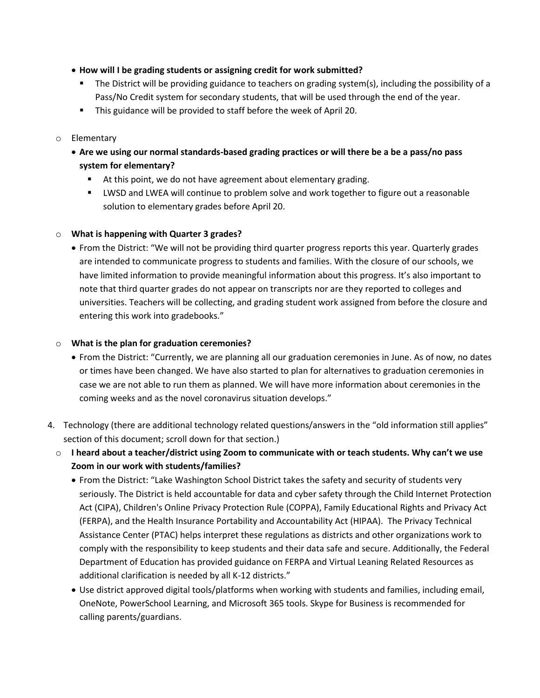- **How will I be grading students or assigning credit for work submitted?**
	- The District will be providing guidance to teachers on grading system(s), including the possibility of a Pass/No Credit system for secondary students, that will be used through the end of the year.
	- This guidance will be provided to staff before the week of April 20.

#### o Elementary

- **Are we using our normal standards-based grading practices or will there be a be a pass/no pass system for elementary?**
	- At this point, we do not have agreement about elementary grading.
	- LWSD and LWEA will continue to problem solve and work together to figure out a reasonable solution to elementary grades before April 20.

#### o **What is happening with Quarter 3 grades?**

 From the District: "We will not be providing third quarter progress reports this year. Quarterly grades are intended to communicate progress to students and families. With the closure of our schools, we have limited information to provide meaningful information about this progress. It's also important to note that third quarter grades do not appear on transcripts nor are they reported to colleges and universities. Teachers will be collecting, and grading student work assigned from before the closure and entering this work into gradebooks."

#### o **What is the plan for graduation ceremonies?**

- From the District: "Currently, we are planning all our graduation ceremonies in June. As of now, no dates or times have been changed. We have also started to plan for alternatives to graduation ceremonies in case we are not able to run them as planned. We will have more information about ceremonies in the coming weeks and as the novel coronavirus situation develops."
- 4. Technology (there are additional technology related questions/answers in the "old information still applies" section of this document; scroll down for that section.)
	- o **I heard about a teacher/district using Zoom to communicate with or teach students. Why can't we use Zoom in our work with students/families?**
		- From the District: "Lake Washington School District takes the safety and security of students very seriously. The District is held accountable for data and cyber safety through the Child Internet Protection Act (CIPA), Children's Online Privacy Protection Rule (COPPA), Family Educational Rights and Privacy Act (FERPA), and the Health Insurance Portability and Accountability Act (HIPAA). The Privacy Technical Assistance Center (PTAC) helps interpret these regulations as districts and other organizations work to comply with the responsibility to keep students and their data safe and secure. Additionally, the Federal Department of Education has provided guidance on FERPA and Virtual Leaning Related Resources as additional clarification is needed by all K-12 districts."
		- Use district approved digital tools/platforms when working with students and families, including email, OneNote, PowerSchool Learning, and Microsoft 365 tools. Skype for Business is recommended for calling parents/guardians.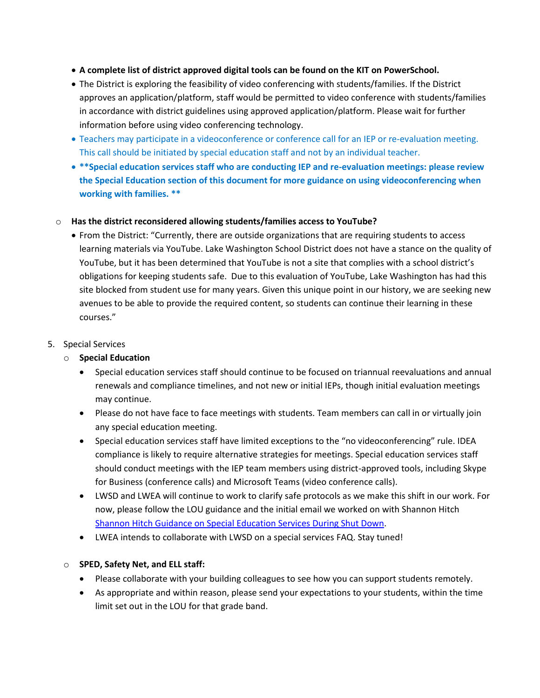- **A complete list of district approved digital tools can be found on the KIT on PowerSchool.**
- The District is exploring the feasibility of video conferencing with students/families. If the District approves an application/platform, staff would be permitted to video conference with students/families in accordance with district guidelines using approved application/platform. Please wait for further information before using video conferencing technology.
- Teachers may participate in a videoconference or conference call for an IEP or re-evaluation meeting. This call should be initiated by special education staff and not by an individual teacher.
- **\*\*Special education services staff who are conducting IEP and re-evaluation meetings: please review the Special Education section of this document for more guidance on using videoconferencing when working with families. \*\***
- o **Has the district reconsidered allowing students/families access to YouTube?**
	- From the District: "Currently, there are outside organizations that are requiring students to access learning materials via YouTube. Lake Washington School District does not have a stance on the quality of YouTube, but it has been determined that YouTube is not a site that complies with a school district's obligations for keeping students safe. Due to this evaluation of YouTube, Lake Washington has had this site blocked from student use for many years. Given this unique point in our history, we are seeking new avenues to be able to provide the required content, so students can continue their learning in these courses."
- 5. Special Services
	- o **Special Education**
		- Special education services staff should continue to be focused on triannual reevaluations and annual renewals and compliance timelines, and not new or initial IEPs, though initial evaluation meetings may continue.
		- Please do not have face to face meetings with students. Team members can call in or virtually join any special education meeting.
		- Special education services staff have limited exceptions to the "no videoconferencing" rule. IDEA compliance is likely to require alternative strategies for meetings. Special education services staff should conduct meetings with the IEP team members using district-approved tools, including Skype for Business (conference calls) and Microsoft Teams (video conference calls).
		- LWSD and LWEA will continue to work to clarify safe protocols as we make this shift in our work. For now, please follow the LOU guidance and the initial email we worked on with Shannon Hitch [Shannon Hitch Guidance on Special Education Services During Shut Down.](https://www.lakewashingtonea.org/file_viewer.php?id=29501)
		- LWEA intends to collaborate with LWSD on a special services FAQ. Stay tuned!

## o **SPED, Safety Net, and ELL staff:**

- Please collaborate with your building colleagues to see how you can support students remotely.
- As appropriate and within reason, please send your expectations to your students, within the time limit set out in the LOU for that grade band.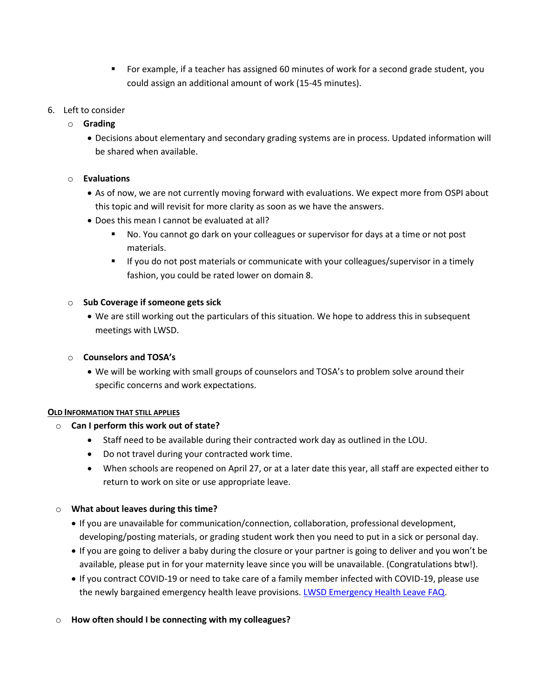- For example, if a teacher has assigned 60 minutes of work for a second grade student, you could assign an additional amount of work (15-45 minutes).
- 6. Left to consider
	- o **Grading**
		- Decisions about elementary and secondary grading systems are in process. Updated information will be shared when available.
	- o **Evaluations**
		- As of now, we are not currently moving forward with evaluations. We expect more from OSPI about this topic and will revisit for more clarity as soon as we have the answers.
		- Does this mean I cannot be evaluated at all?
			- No. You cannot go dark on your colleagues or supervisor for days at a time or not post materials.
			- **If you do not post materials or communicate with your colleagues/supervisor in a timely** fashion, you could be rated lower on domain 8.
	- o **Sub Coverage if someone gets sick** 
		- We are still working out the particulars of this situation. We hope to address this in subsequent meetings with LWSD.
	- o **Counselors and TOSA's** 
		- We will be working with small groups of counselors and TOSA's to problem solve around their specific concerns and work expectations.

#### **OLD INFORMATION THAT STILL APPLIES**

- o **Can I perform this work out of state?**
	- Staff need to be available during their contracted work day as outlined in the LOU.
	- Do not travel during your contracted work time.
	- When schools are reopened on April 27, or at a later date this year, all staff are expected either to return to work on site or use appropriate leave.
- o **What about leaves during this time?**
	- If you are unavailable for communication/connection, collaboration, professional development, developing/posting materials, or grading student work then you need to put in a sick or personal day.
	- If you are going to deliver a baby during the closure or your partner is going to deliver and you won't be available, please put in for your maternity leave since you will be unavailable. (Congratulations btw!).
	- If you contract COVID-19 or need to take care of a family member infected with COVID-19, please use the newly bargained emergency health leave provisions. [LWSD Emergency Health Leave FAQ.](https://www.lakewashingtonea.org/file_viewer.php?id=29331)
- o **How often should I be connecting with my colleagues?**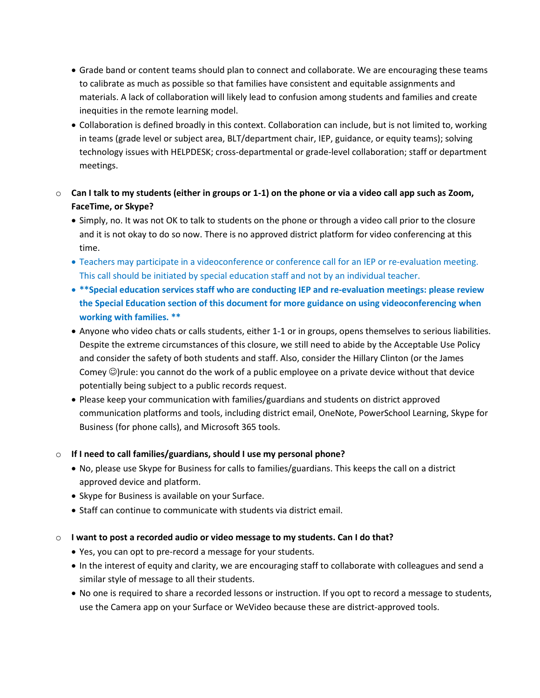- Grade band or content teams should plan to connect and collaborate. We are encouraging these teams to calibrate as much as possible so that families have consistent and equitable assignments and materials. A lack of collaboration will likely lead to confusion among students and families and create inequities in the remote learning model.
- Collaboration is defined broadly in this context. Collaboration can include, but is not limited to, working in teams (grade level or subject area, BLT/department chair, IEP, guidance, or equity teams); solving technology issues with HELPDESK; cross-departmental or grade-level collaboration; staff or department meetings.
- o **Can I talk to my students (either in groups or 1-1) on the phone or via a video call app such as Zoom, FaceTime, or Skype?**
	- Simply, no. It was not OK to talk to students on the phone or through a video call prior to the closure and it is not okay to do so now. There is no approved district platform for video conferencing at this time.
	- Teachers may participate in a videoconference or conference call for an IEP or re-evaluation meeting. This call should be initiated by special education staff and not by an individual teacher.
	- **\*\*Special education services staff who are conducting IEP and re-evaluation meetings: please review the Special Education section of this document for more guidance on using videoconferencing when working with families. \*\***
	- Anyone who video chats or calls students, either 1-1 or in groups, opens themselves to serious liabilities. Despite the extreme circumstances of this closure, we still need to abide by the Acceptable Use Policy and consider the safety of both students and staff. Also, consider the Hillary Clinton (or the James Comey  $\circledcirc$ )rule: you cannot do the work of a public employee on a private device without that device potentially being subject to a public records request.
	- Please keep your communication with families/guardians and students on district approved communication platforms and tools, including district email, OneNote, PowerSchool Learning, Skype for Business (for phone calls), and Microsoft 365 tools.

## o **If I need to call families/guardians, should I use my personal phone?**

- No, please use Skype for Business for calls to families/guardians. This keeps the call on a district approved device and platform.
- Skype for Business is available on your Surface.
- Staff can continue to communicate with students via district email.

## o **I want to post a recorded audio or video message to my students. Can I do that?**

- Yes, you can opt to pre-record a message for your students.
- In the interest of equity and clarity, we are encouraging staff to collaborate with colleagues and send a similar style of message to all their students.
- No one is required to share a recorded lessons or instruction. If you opt to record a message to students, use the Camera app on your Surface or WeVideo because these are district-approved tools.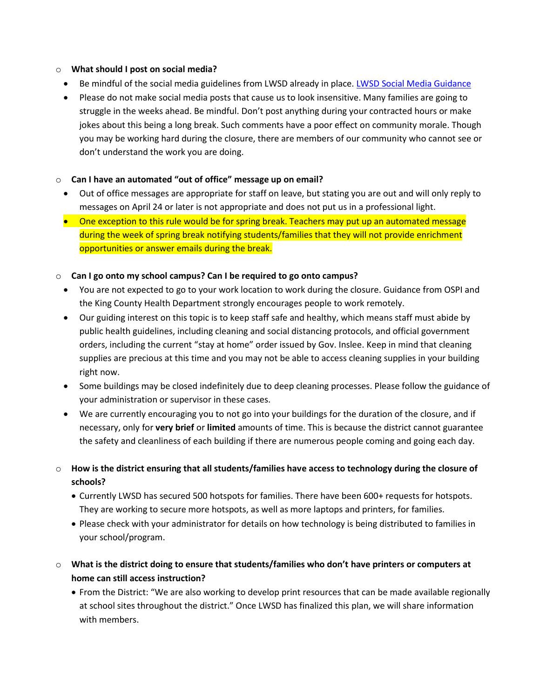#### o **What should I post on social media?**

- Be mindful of the social media guidelines from LWSD already in place. [LWSD Social Media Guidance](https://www.washingtonea.org/file_viewer.php?id=29641)
- Please do not make social media posts that cause us to look insensitive. Many families are going to struggle in the weeks ahead. Be mindful. Don't post anything during your contracted hours or make jokes about this being a long break. Such comments have a poor effect on community morale. Though you may be working hard during the closure, there are members of our community who cannot see or don't understand the work you are doing.

## o **Can I have an automated "out of office" message up on email?**

- Out of office messages are appropriate for staff on leave, but stating you are out and will only reply to messages on April 24 or later is not appropriate and does not put us in a professional light.
- One exception to this rule would be for spring break. Teachers may put up an automated message during the week of spring break notifying students/families that they will not provide enrichment opportunities or answer emails during the break.

## o **Can I go onto my school campus? Can I be required to go onto campus?**

- You are not expected to go to your work location to work during the closure. Guidance from OSPI and the King County Health Department strongly encourages people to work remotely.
- Our guiding interest on this topic is to keep staff safe and healthy, which means staff must abide by public health guidelines, including cleaning and social distancing protocols, and official government orders, including the current "stay at home" order issued by Gov. Inslee. Keep in mind that cleaning supplies are precious at this time and you may not be able to access cleaning supplies in your building right now.
- Some buildings may be closed indefinitely due to deep cleaning processes. Please follow the guidance of your administration or supervisor in these cases.
- We are currently encouraging you to not go into your buildings for the duration of the closure, and if necessary, only for **very brief** or **limited** amounts of time. This is because the district cannot guarantee the safety and cleanliness of each building if there are numerous people coming and going each day.
- o **How is the district ensuring that all students/families have access to technology during the closure of schools?**
	- Currently LWSD has secured 500 hotspots for families. There have been 600+ requests for hotspots. They are working to secure more hotspots, as well as more laptops and printers, for families.
	- Please check with your administrator for details on how technology is being distributed to families in your school/program.
- o **What is the district doing to ensure that students/families who don't have printers or computers at home can still access instruction?**
	- From the District: "We are also working to develop print resources that can be made available regionally at school sites throughout the district." Once LWSD has finalized this plan, we will share information with members.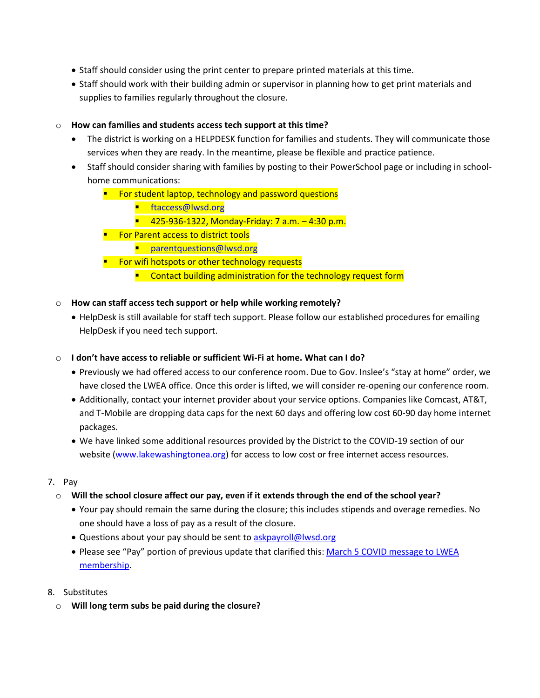- Staff should consider using the print center to prepare printed materials at this time.
- Staff should work with their building admin or supervisor in planning how to get print materials and supplies to families regularly throughout the closure.

#### o **How can families and students access tech support at this time?**

- The district is working on a HELPDESK function for families and students. They will communicate those services when they are ready. In the meantime, please be flexible and practice patience.
- Staff should consider sharing with families by posting to their PowerSchool page or including in schoolhome communications:
	- **For student laptop, technology and password questions** 
		- [ftaccess@lwsd.org](mailto:ftaccess@lwsd.org)
		- 425-936-1322, Monday-Friday: 7 a.m. 4:30 p.m.
	- **For Parent access to district tools** 
		- **Parentquestions@lwsd.org**
	- **Fig. 5 For wifi hotspots or other technology requests** 
		- **E** Contact building administration for the technology request form

#### o **How can staff access tech support or help while working remotely?**

- HelpDesk is still available for staff tech support. Please follow our established procedures for emailing HelpDesk if you need tech support.
- o **I don't have access to reliable or sufficient Wi-Fi at home. What can I do?**
	- Previously we had offered access to our conference room. Due to Gov. Inslee's "stay at home" order, we have closed the LWEA office. Once this order is lifted, we will consider re-opening our conference room.
	- Additionally, contact your internet provider about your service options. Companies like Comcast, AT&T, and T-Mobile are dropping data caps for the next 60 days and offering low cost 60-90 day home internet packages.
	- We have linked some additional resources provided by the District to the COVID-19 section of our website [\(www.lakewashingtonea.org\)](http://www.lakewashingtonea.org/) for access to low cost or free internet access resources.

## 7. Pay

- o **Will the school closure affect our pay, even if it extends through the end of the school year?**
	- Your pay should remain the same during the closure; this includes stipends and overage remedies. No one should have a loss of pay as a result of the closure.
	- Questions about your pay should be sent t[o askpayroll@lwsd.org](mailto:askpayroll@lwsd.org)
	- Please see "Pay" portion of previous update that clarified this: March 5 COVID message to LWEA [membership.](https://www.lakewashingtonea.org/file_viewer.php?id=29041)
- 8. Substitutes
	- o **Will long term subs be paid during the closure?**